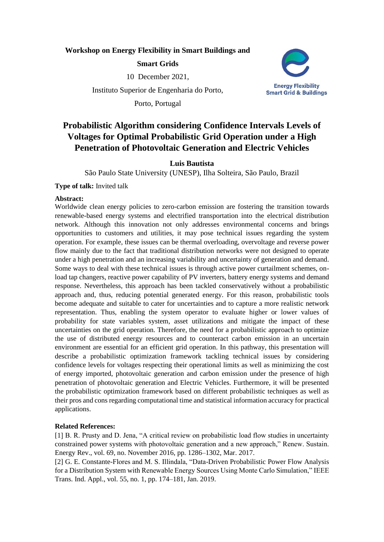## **Workshop on Energy Flexibility in Smart Buildings and**

## **Smart Grids**

10 December 2021,

Instituto Superior de Engenharia do Porto,

Porto, Portugal



# **Probabilistic Algorithm considering Confidence Intervals Levels of Voltages for Optimal Probabilistic Grid Operation under a High Penetration of Photovoltaic Generation and Electric Vehicles**

## **Luis Bautista**

São Paulo State University (UNESP), Ilha Solteira, São Paulo, Brazil

**Type of talk:** Invited talk

#### **Abstract:**

Worldwide clean energy policies to zero-carbon emission are fostering the transition towards renewable-based energy systems and electrified transportation into the electrical distribution network. Although this innovation not only addresses environmental concerns and brings opportunities to customers and utilities, it may pose technical issues regarding the system operation. For example, these issues can be thermal overloading, overvoltage and reverse power flow mainly due to the fact that traditional distribution networks were not designed to operate under a high penetration and an increasing variability and uncertainty of generation and demand. Some ways to deal with these technical issues is through active power curtailment schemes, onload tap changers, reactive power capability of PV inverters, battery energy systems and demand response. Nevertheless, this approach has been tackled conservatively without a probabilistic approach and, thus, reducing potential generated energy. For this reason, probabilistic tools become adequate and suitable to cater for uncertainties and to capture a more realistic network representation. Thus, enabling the system operator to evaluate higher or lower values of probability for state variables system, asset utilizations and mitigate the impact of these uncertainties on the grid operation. Therefore, the need for a probabilistic approach to optimize the use of distributed energy resources and to counteract carbon emission in an uncertain environment are essential for an efficient grid operation. In this pathway, this presentation will describe a probabilistic optimization framework tackling technical issues by considering confidence levels for voltages respecting their operational limits as well as minimizing the cost of energy imported, photovoltaic generation and carbon emission under the presence of high penetration of photovoltaic generation and Electric Vehicles. Furthermore, it will be presented the probabilistic optimization framework based on different probabilistic techniques as well as their pros and cons regarding computational time and statistical information accuracy for practical applications.

#### **Related References:**

[1] B. R. Prusty and D. Jena, "A critical review on probabilistic load flow studies in uncertainty constrained power systems with photovoltaic generation and a new approach," Renew. Sustain. Energy Rev., vol. 69, no. November 2016, pp. 1286–1302, Mar. 2017.

[2] G. E. Constante-Flores and M. S. Illindala, "Data-Driven Probabilistic Power Flow Analysis for a Distribution System with Renewable Energy Sources Using Monte Carlo Simulation," IEEE Trans. Ind. Appl., vol. 55, no. 1, pp. 174–181, Jan. 2019.